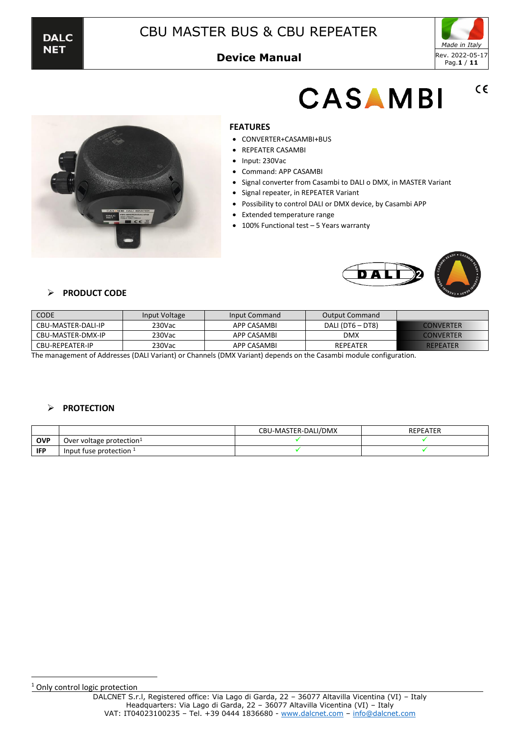



 $C \in$ 



## **FEATURES**

- CONVERTER+CASAMBI+BUS
- REPEATER CASAMBI
- Input: 230Vac
- Command: APP CASAMBI
- Signal converter from Casambi to DALI o DMX, in MASTER Variant

CASAMBI

- Signal repeater, in REPEATER Variant
- Possibility to control DALI or DMX device, by Casambi APP
- Extended temperature range
- 100% Functional test 5 Years warranty



## ➢ **PRODUCT CODE**

| CODE               | Input Voltage | Input Command | <b>Output Command</b> |                  |
|--------------------|---------------|---------------|-----------------------|------------------|
| CBU-MASTER-DALI-IP | 230Vac        | APP CASAMBI   | DALI (DT6 - DT8)      | <b>CONVERTER</b> |
| CBU-MASTER-DMX-IP  | $230$ Vac     | APP CASAMBI   | <b>DMX</b>            | <b>CONVERTER</b> |
| CBU-REPEATER-IP    | 230Vac        | APP CASAMBI   | <b>REPEATER</b>       | REPEATER         |

The management of Addresses (DALI Variant) or Channels (DMX Variant) depends on the Casambi module configuration.

## ➢ **PROTECTION**

|            |                             | CBU-MASTER-DALI/DMX | REPEATER |
|------------|-----------------------------|---------------------|----------|
| <b>OVP</b> | Over voltage protection $1$ |                     |          |
| <b>IFP</b> | Input fuse protection $1$   |                     |          |

<sup>1</sup> Only control logic protection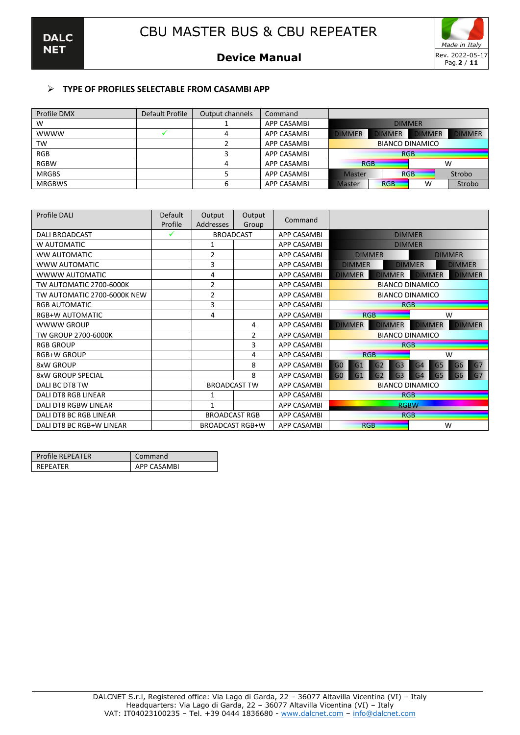

## ➢ **TYPE OF PROFILES SELECTABLE FROM CASAMBI APP**

| Profile DMX   | Default Profile | Output channels | Command            |                        |               |               |               |
|---------------|-----------------|-----------------|--------------------|------------------------|---------------|---------------|---------------|
| W             |                 |                 | <b>APP CASAMBI</b> | <b>DIMMER</b>          |               |               |               |
| <b>WWWW</b>   |                 |                 | APP CASAMBI        | <b>DIMMER</b>          | <b>DIMMER</b> | <b>DIMMER</b> | <b>DIMMER</b> |
| TW            |                 |                 | APP CASAMBI        | <b>BIANCO DINAMICO</b> |               |               |               |
| <b>RGB</b>    |                 |                 | APP CASAMBI        | <b>RGB</b>             |               |               |               |
| <b>RGBW</b>   |                 |                 | APP CASAMBI        | W<br><b>RGB</b>        |               |               |               |
| <b>MRGBS</b>  |                 |                 | APP CASAMBI        | <b>Master</b>          |               | <b>RGB</b>    | Strobo        |
| <b>MRGBWS</b> |                 | 6               | APP CASAMBI        | Master                 | <b>RGB</b>    | W             | Strobo        |

| <b>Profile DALI</b>           | <b>Default</b><br>Profile | Output<br>Addresses    | Output<br>Group | Command            |                      |                                  |                                  |                |               |
|-------------------------------|---------------------------|------------------------|-----------------|--------------------|----------------------|----------------------------------|----------------------------------|----------------|---------------|
| <b>DALI BROADCAST</b>         | ✓                         | <b>BROADCAST</b>       |                 | <b>APP CASAMBI</b> |                      | <b>DIMMER</b>                    |                                  |                |               |
| W AUTOMATIC                   |                           | 1                      |                 | <b>APP CASAMBI</b> |                      | <b>DIMMER</b>                    |                                  |                |               |
| <b>WW AUTOMATIC</b>           |                           | $\overline{2}$         |                 | <b>APP CASAMBI</b> | <b>DIMMER</b>        |                                  |                                  | <b>DIMMER</b>  |               |
| WWW AUTOMATIC                 |                           | 3                      |                 | <b>APP CASAMBI</b> | <b>DIMMER</b>        |                                  | <b>DIMMER</b>                    | <b>DIMMER</b>  |               |
| WWWW AUTOMATIC                |                           | 4                      |                 | <b>APP CASAMBI</b> | <b>DIMMER</b>        | <b>DIMMER</b>                    | <b>DIMMER</b>                    |                | <b>DIMMER</b> |
| TW AUTOMATIC 2700-6000K       |                           | $\overline{2}$         |                 | <b>APP CASAMBI</b> |                      | <b>BIANCO DINAMICO</b>           |                                  |                |               |
| TW AUTOMATIC 2700-6000K NEW   |                           | $\overline{2}$         |                 | <b>APP CASAMBI</b> |                      | <b>BIANCO DINAMICO</b>           |                                  |                |               |
| <b>RGB AUTOMATIC</b>          |                           | 3                      |                 | <b>APP CASAMBI</b> |                      | <b>RGB</b>                       |                                  |                |               |
| <b>RGB+W AUTOMATIC</b>        |                           | 4                      |                 | <b>APP CASAMBI</b> | <b>RGB</b>           |                                  |                                  | W              |               |
| <b>WWWW GROUP</b>             |                           |                        | 4               | <b>APP CASAMBI</b> | <b>DIMMER</b>        | <b>DIMMER</b>                    | <b>DIMMER</b>                    |                | <b>DIMMER</b> |
| <b>TW GROUP 2700-6000K</b>    |                           |                        | 2               | <b>APP CASAMBI</b> |                      | <b>BIANCO DINAMICO</b>           |                                  |                |               |
| <b>RGB GROUP</b>              |                           |                        | 3               | <b>APP CASAMBI</b> |                      | <b>RGB</b>                       |                                  |                |               |
| <b>RGB+W GROUP</b>            |                           |                        | 4               | <b>APP CASAMBI</b> | <b>RGB</b>           |                                  |                                  | W              |               |
| 8xW GROUP                     |                           |                        | 8               | <b>APP CASAMBI</b> | G <sub>0</sub><br>G1 | G <sub>3</sub><br>G <sub>2</sub> | G4<br>G <sub>5</sub>             | G <sub>6</sub> | G7            |
| <b>8xW GROUP SPECIAL</b>      |                           |                        | 8               | <b>APP CASAMBI</b> | G <sub>0</sub><br>G1 | G <sub>3</sub><br>G <sub>2</sub> | G <sub>4</sub><br>G <sub>5</sub> | G <sub>6</sub> | G7            |
| DALI BC DT8 TW                |                           | <b>BROADCAST TW</b>    |                 | <b>APP CASAMBI</b> |                      | <b>BIANCO DINAMICO</b>           |                                  |                |               |
| <b>DALI DT8 RGB LINEAR</b>    |                           | 1                      |                 | <b>APP CASAMBI</b> |                      | <b>RGB</b>                       |                                  |                |               |
| <b>DALI DT8 RGBW LINEAR</b>   |                           | 1                      |                 | <b>APP CASAMBI</b> |                      | <b>RGBW</b>                      |                                  |                |               |
| <b>DALI DT8 BC RGB LINEAR</b> |                           | <b>BROADCAST RGB</b>   |                 | <b>APP CASAMBI</b> |                      | <b>RGB</b>                       |                                  |                |               |
| DALI DT8 BC RGB+W LINEAR      |                           | <b>BROADCAST RGB+W</b> |                 | <b>APP CASAMBI</b> | <b>RGB</b>           |                                  |                                  | W              |               |

| <b>Profile REPEATER</b> | `ommand            |
|-------------------------|--------------------|
| RFPFATFR                | <b>APP CASAMBL</b> |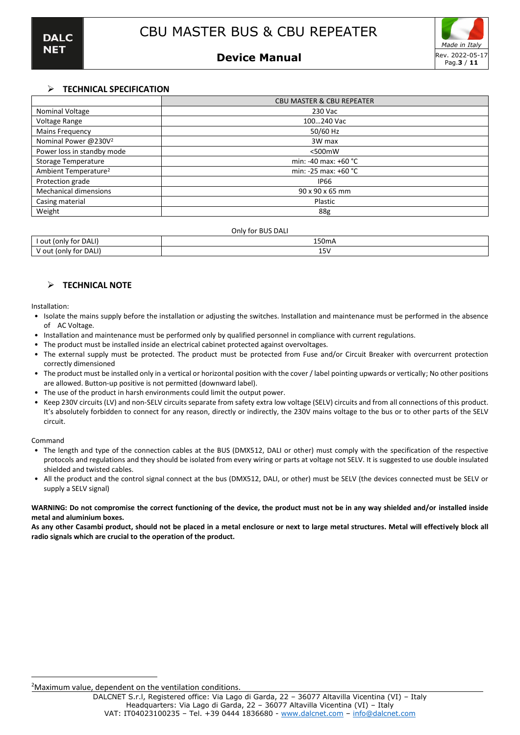

## ➢ **TECHNICAL SPECIFICATION**

|                                  | <b>CBU MASTER &amp; CBU REPEATER</b> |  |
|----------------------------------|--------------------------------------|--|
| Nominal Voltage                  | 230 Vac                              |  |
| Voltage Range                    | 100240 Vac                           |  |
| <b>Mains Frequency</b>           | 50/60 Hz                             |  |
| Nominal Power @230V <sup>2</sup> | 3W max                               |  |
| Power loss in standby mode       | $<$ 500 $m$ W                        |  |
| Storage Temperature              | min: -40 max: +60 $^{\circ}$ C       |  |
| Ambient Temperature <sup>2</sup> | min: -25 max: +60 °C                 |  |
| Protection grade                 | <b>IP66</b>                          |  |
| <b>Mechanical dimensions</b>     | 90 x 90 x 65 mm                      |  |
| Casing material                  | Plastic                              |  |
| Weight                           | 88g                                  |  |

| Only for BUS DALI |
|-------------------|
|                   |

| $U_{111}$ , $U_{11}$ , $U_{22}$ , $U_{11}$ |       |  |  |
|--------------------------------------------|-------|--|--|
| I out<br>tor DALI)<br>: (onlv              | 150mA |  |  |
| out (only for DALI)                        | 15 V  |  |  |

## ➢ **TECHNICAL NOTE**

Installation:

- Isolate the mains supply before the installation or adjusting the switches. Installation and maintenance must be performed in the absence of AC Voltage.
- Installation and maintenance must be performed only by qualified personnel in compliance with current regulations.
- The product must be installed inside an electrical cabinet protected against overvoltages.
- The external supply must be protected. The product must be protected from Fuse and/or Circuit Breaker with overcurrent protection correctly dimensioned
- The product must be installed only in a vertical or horizontal position with the cover / label pointing upwards or vertically; No other positions are allowed. Button-up positive is not permitted (downward label).
- The use of the product in harsh environments could limit the output power.
- Keep 230V circuits (LV) and non-SELV circuits separate from safety extra low voltage (SELV) circuits and from all connections of this product. It's absolutely forbidden to connect for any reason, directly or indirectly, the 230V mains voltage to the bus or to other parts of the SELV circuit.

#### Command

- The length and type of the connection cables at the BUS (DMX512, DALI or other) must comply with the specification of the respective protocols and regulations and they should be isolated from every wiring or parts at voltage not SELV. It is suggested to use double insulated shielded and twisted cables.
- All the product and the control signal connect at the bus (DMX512, DALI, or other) must be SELV (the devices connected must be SELV or supply a SELV signal)

#### **WARNING: Do not compromise the correct functioning of the device, the product must not be in any way shielded and/or installed inside metal and aluminium boxes.**

**As any other Casambi product, should not be placed in a metal enclosure or next to large metal structures. Metal will effectively block all radio signals which are crucial to the operation of the product.**

<sup>2</sup>Maximum value, dependent on the ventilation conditions.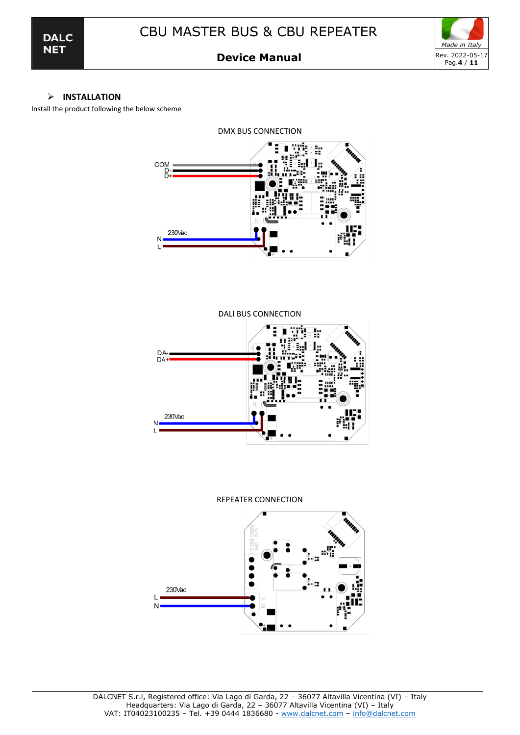

## ➢ **INSTALLATION**

Install the product following the below scheme

 $\mathbf{I}$ 



DALI BUS CONNECTION DA-1<br>DA+1 230Vac  ${\sf N}$ 

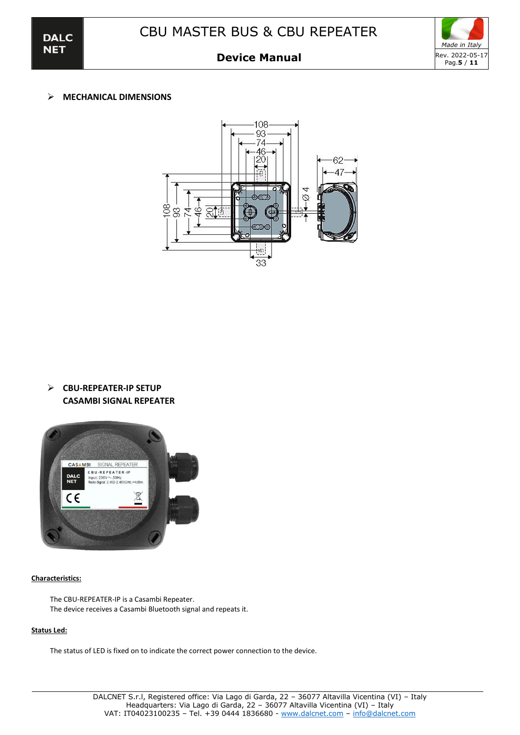



## ➢ **MECHANICAL DIMENSIONS**



➢ **CBU-REPEATER-IP SETUP CASAMBI SIGNAL REPEATER**



## **Characteristics:**

The CBU-REPEATER-IP is a Casambi Repeater. The device receives a Casambi Bluetooth signal and repeats it.

## **Status Led:**

The status of LED is fixed on to indicate the correct power connection to the device.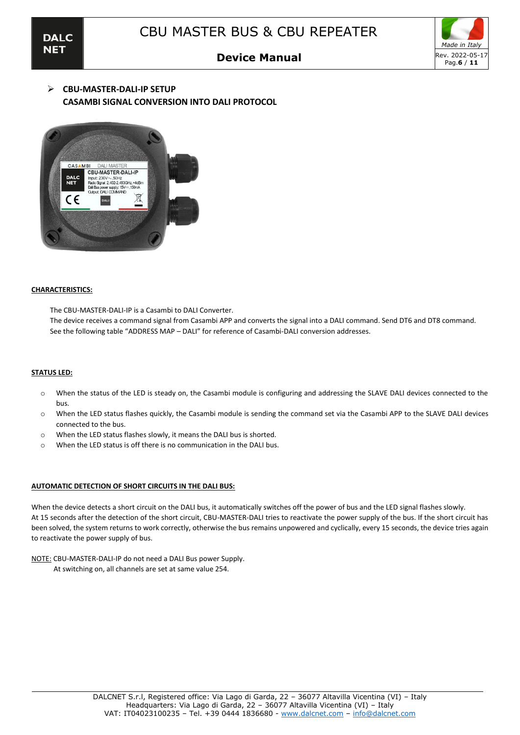



## ➢ **CBU-MASTER-DALI-IP SETUP CASAMBI SIGNAL CONVERSION INTO DALI PROTOCOL**



## **CHARACTERISTICS:**

The CBU-MASTER-DALI-IP is a Casambi to DALI Converter.

The device receives a command signal from Casambi APP and converts the signal into a DALI command. Send DT6 and DT8 command. See the following table "ADDRESS MAP – DALI" for reference of Casambi-DALI conversion addresses.

## **STATUS LED:**

- o When the status of the LED is steady on, the Casambi module is configuring and addressing the SLAVE DALI devices connected to the bus.
- o When the LED status flashes quickly, the Casambi module is sending the command set via the Casambi APP to the SLAVE DALI devices connected to the bus.
- o When the LED status flashes slowly, it means the DALI bus is shorted.
- o When the LED status is off there is no communication in the DALI bus.

### **AUTOMATIC DETECTION OF SHORT CIRCUITS IN THE DALI BUS:**

When the device detects a short circuit on the DALI bus, it automatically switches off the power of bus and the LED signal flashes slowly. At 15 seconds after the detection of the short circuit, CBU-MASTER-DALI tries to reactivate the power supply of the bus. If the short circuit has been solved, the system returns to work correctly, otherwise the bus remains unpowered and cyclically, every 15 seconds, the device tries again to reactivate the power supply of bus.

NOTE: CBU-MASTER-DALI-IP do not need a DALI Bus power Supply.

At switching on, all channels are set at same value 254.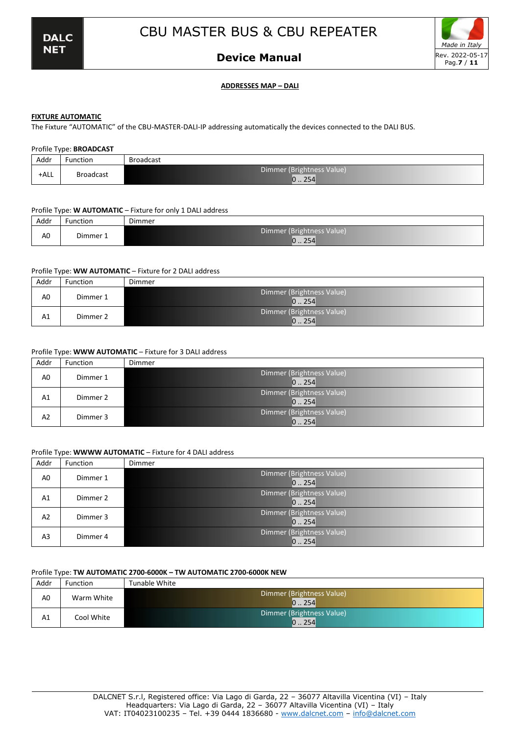



## **ADDRESSES MAP – DALI**

## **FIXTURE AUTOMATIC**

The Fixture "AUTOMATIC" of the CBU-MASTER-DALI-IP addressing automatically the devices connected to the DALI BUS.

#### Profile Type: **BROADCAST**

| Addr | Function  | <b>Broadcast</b>                   |
|------|-----------|------------------------------------|
| +ALL | Broadcast | Dimmer (Brightness Value)<br>0.254 |

#### Profile Type: **W AUTOMATIC** – Fixture for only 1 DALI address

| Addr           | Function | Dimmer                             |
|----------------|----------|------------------------------------|
| A <sub>0</sub> | Dimmer 1 | Dimmer (Brightness Value)<br>0.254 |

## Profile Type: **WW AUTOMATIC** – Fixture for 2 DALI address

| Addr           | <b>Function</b> | Dimmer                              |
|----------------|-----------------|-------------------------------------|
| A <sub>0</sub> | Dimmer 1        | Dimmer (Brightness Value)<br>0254   |
| A1             | Dimmer 2        | Dimmer (Brightness Value)<br>0.9254 |

## Profile Type: **WWW AUTOMATIC** – Fixture for 3 DALI address

| Addr           | <b>Function</b> | Dimmer                                          |
|----------------|-----------------|-------------------------------------------------|
| A <sub>0</sub> | Dimmer 1        | Dimmer (Brightness Value)<br>$\vert 0254 \vert$ |
| A <sub>1</sub> | Dimmer 2        | Dimmer (Brightness Value)<br>$\vert 0254 \vert$ |
| A <sub>2</sub> | Dimmer 3        | Dimmer (Brightness Value)<br>$\vert 0254 \vert$ |

## Profile Type: **WWWW AUTOMATIC** – Fixture for 4 DALI address

| Addr           | Function | Dimmer                                          |
|----------------|----------|-------------------------------------------------|
| A <sub>0</sub> | Dimmer 1 | Dimmer (Brightness Value)<br>$\vert 0254 \vert$ |
| A <sub>1</sub> | Dimmer 2 | Dimmer (Brightness Value)<br>0.254              |
| A <sub>2</sub> | Dimmer 3 | Dimmer (Brightness Value)<br>$\vert 0254 \vert$ |
| A <sub>3</sub> | Dimmer 4 | Dimmer (Brightness Value)<br>0.254              |

### Profile Type: **TW AUTOMATIC 2700-6000K – TW AUTOMATIC 2700-6000K NEW**

| Addr           | Function   | Tunable White                       |
|----------------|------------|-------------------------------------|
| A <sub>0</sub> | Warm White | Dimmer (Brightness Value)<br>0.254  |
| A1             | Cool White | Dimmer (Brightness Value)<br>0.9254 |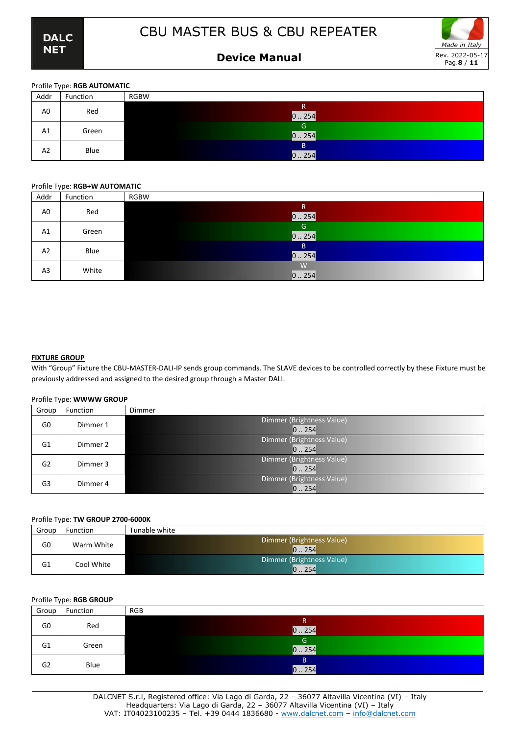

## Profile Type: **RGB AUTOMATIC**

|                | $\sim$ $\sim$ $\sim$ $\sim$<br>_______<br>$\sim$ |             |  |  |
|----------------|--------------------------------------------------|-------------|--|--|
| Addr           | Function                                         | <b>RGBW</b> |  |  |
| A <sub>0</sub> | Red                                              | к<br>0.254  |  |  |
| A <sub>1</sub> | Green                                            | G.<br>0.254 |  |  |
| A2             | Blue                                             | B<br>0.254  |  |  |

## Profile Type: **RGB+W AUTOMATIC**

| Addr           | Function | RGBW        |
|----------------|----------|-------------|
| A <sub>0</sub> | Red      | R<br>0.254  |
| A1             | Green    | G.<br>0.254 |
| A <sub>2</sub> | Blue     | B<br>0.254  |
| A <sub>3</sub> | White    | W<br>0.254  |

## **FIXTURE GROUP**

With "Group" Fixture the CBU-MASTER-DALI-IP sends group commands. The SLAVE devices to be controlled correctly by these Fixture must be previously addressed and assigned to the desired group through a Master DALI.

#### Profile Type: **WWWW GROUP**

| Group          | Function | Dimmer                                          |
|----------------|----------|-------------------------------------------------|
| G <sub>0</sub> | Dimmer 1 | Dimmer (Brightness Value)<br>0.254              |
| G <sub>1</sub> | Dimmer 2 | Dimmer (Brightness Value)<br>0.254              |
| G <sub>2</sub> | Dimmer 3 | Dimmer (Brightness Value)<br>0.254              |
| G <sub>3</sub> | Dimmer 4 | Dimmer (Brightness Value)<br>$\vert 0254 \vert$ |

### Profile Type: **TW GROUP 2700-6000K**

| Group          | Function   | Tunable white                       |
|----------------|------------|-------------------------------------|
| G <sub>0</sub> | Warm White | Dimmer (Brightness Value)<br>0.254  |
| G1             | Cool White | Dimmer (Brightness Value)<br>0.9254 |

#### Profile Type: **RGB GROUP**

| Group          | Function | <b>RGB</b>  |
|----------------|----------|-------------|
| G <sub>0</sub> | Red      | 0.254       |
| G <sub>1</sub> | Green    | G.<br>0.254 |
| G <sub>2</sub> | Blue     | B<br>0.254  |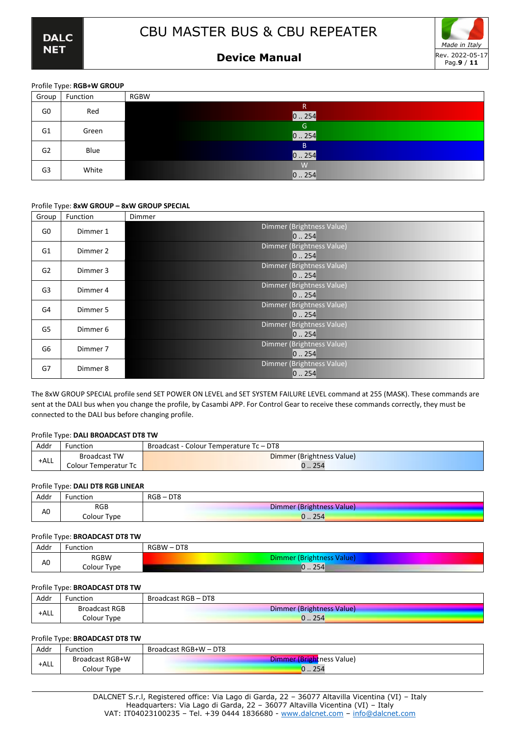

## Profile Type: **RGB+W GROUP**

| Group          | Function | RGBW                    |
|----------------|----------|-------------------------|
| G <sub>0</sub> | Red      | R<br>0.254              |
| G <sub>1</sub> | Green    | G.<br>0.254             |
| G <sub>2</sub> | Blue     | B<br>$\overline{0}$ 254 |
| G <sub>3</sub> | White    | W<br>0.254              |

## Profile Type: **8xW GROUP – 8xW GROUP SPECIAL**

| Group          | Function | Dimmer                                                      |
|----------------|----------|-------------------------------------------------------------|
| G <sub>0</sub> | Dimmer 1 | Dimmer (Brightness Value)<br>$\vert 0254 \vert$             |
| G <sub>1</sub> | Dimmer 2 | Dimmer (Brightness Value)<br>$\vert 0254 \vert$             |
| G <sub>2</sub> | Dimmer 3 | Dimmer (Brightness Value)<br>$\vert 0254 \vert$             |
| G <sub>3</sub> | Dimmer 4 | Dimmer (Brightness Value)<br>0.254                          |
| G4             | Dimmer 5 | Dimmer (Brightness Value)<br> 0254                          |
| G5             | Dimmer 6 | Dimmer (Brightness Value)<br>$\vert 0254 \vert$             |
| G6             | Dimmer 7 | Dimmer (Brightness Value)<br>$\mathsf{I0}$ 254 $\mathsf{I}$ |
| G7             | Dimmer 8 | Dimmer (Brightness Value)<br> 0254                          |

The 8xW GROUP SPECIAL profile send SET POWER ON LEVEL and SET SYSTEM FAILURE LEVEL command at 255 (MASK). These commands are sent at the DALI bus when you change the profile, by Casambi APP. For Control Gear to receive these commands correctly, they must be connected to the DALI bus before changing profile.

### Profile Type: **DALI BROADCAST DT8 TW**

| Addr | Function             | Broadcast - Colour Temperature Tc – DT8 |
|------|----------------------|-----------------------------------------|
| +ALL | <b>Broadcast TW</b>  | Dimmer (Brightness Value)               |
|      | Colour Temperatur Tc | $J_{\cdot}$ . 254                       |

## Profile Type: **DALI DT8 RGB LINEAR**

| Addr           | Function    | $RGB - DTS$               |
|----------------|-------------|---------------------------|
| A <sub>0</sub> | <b>RGB</b>  | Dimmer (Brightness Value) |
|                | Colour Type | 0.0254                    |

### Profile Type: **BROADCAST DT8 TW**

| Addr           | Function    | RGBW-DT8                  |
|----------------|-------------|---------------------------|
| A <sub>0</sub> | <b>RGBW</b> | Dimmer (Brightness Value) |
|                | Colour Type | 0.254                     |

## Profile Type: **BROADCAST DT8 TW**

| Addr | Function             | Broadcast RGB - DT8       |
|------|----------------------|---------------------------|
| +ALL | <b>Broadcast RGB</b> | Dimmer (Brightness Value) |
|      | Colour Type          | $J_{.} 254$               |

### Profile Type: **BROADCAST DT8 TW**

| Addr<br>Broadcast RGB+W - DT8<br>-unction<br><b>(Bright</b> ness Value)<br><b>Broadcast RGB+W</b><br><b>Dimmer</b> |             |                   |  |  |  |  |
|--------------------------------------------------------------------------------------------------------------------|-------------|-------------------|--|--|--|--|
|                                                                                                                    |             |                   |  |  |  |  |
| +ALL                                                                                                               | Colour Type | $\n 2E$<br>u  zɔ4 |  |  |  |  |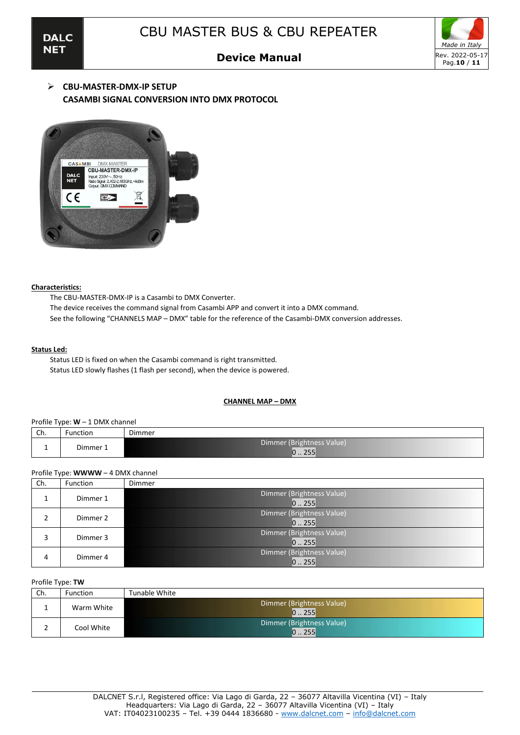

## ➢ **CBU-MASTER-DMX-IP SETUP CASAMBI SIGNAL CONVERSION INTO DMX PROTOCOL**



### **Characteristics:**

The CBU-MASTER-DMX-IP is a Casambi to DMX Converter. The device receives the command signal from Casambi APP and convert it into a DMX command. See the following "CHANNELS MAP – DMX" table for the reference of the Casambi-DMX conversion addresses.

### **Status Led:**

Status LED is fixed on when the Casambi command is right transmitted. Status LED slowly flashes (1 flash per second), when the device is powered.

### **CHANNEL MAP – DMX**

### Profile Type: **W** – 1 DMX channel

| Ch. | Function | Dimmer                                     |
|-----|----------|--------------------------------------------|
|     | Dimmer 1 | Dimmer (Brightness Value)<br>255<br>ບ  ∠JJ |

### Profile Type: **WWWW** – 4 DMX channel

| Ch.            | <b>Function</b> | Dimmer                                          |
|----------------|-----------------|-------------------------------------------------|
| J.             | Dimmer 1        | Dimmer (Brightness Value)<br>0.255              |
| $\overline{2}$ | Dimmer 2        | Dimmer (Brightness Value)<br>0.255              |
| 3              | Dimmer 3        | Dimmer (Brightness Value)<br>$\vert 0255 \vert$ |
| 4              | Dimmer 4        | Dimmer (Brightness Value)<br> 0255              |

## Profile Type: **TW**

| Ch.    | <b>Function</b> | Tunable White                       |
|--------|-----------------|-------------------------------------|
| -      | Warm White      | Dimmer (Brightness Value)<br>0.9255 |
| ∼<br>- | Cool White      | Dimmer (Brightness Value)<br>0.0255 |